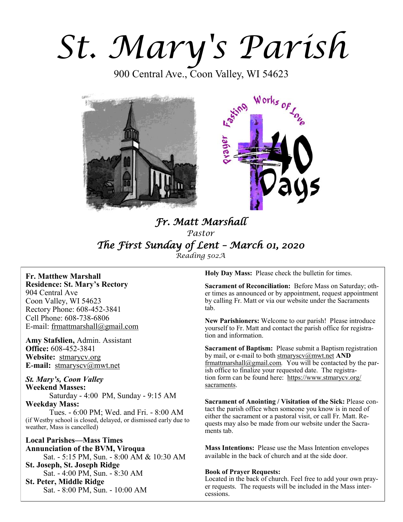# *St. Mary's Parish*

900 Central Ave., Coon Valley, WI 54623





# *Fr. Matt Marshall Pastor The First Sunday of Lent – March 01, 2020 Reading 502A*

**Fr. Matthew Marshall Residence: St. Mary's Rectory** 904 Central Ave Coon Valley, WI 54623 Rectory Phone: 608-452-3841 Cell Phone: 608-738-6806 E-mail: [frmattmarshall@gmail.com](mailto:frmattmarshall@gmail.com)

**Amy Stafslien,** Admin. Assistant **Office:** 608-452-3841 **Website:** <stmarycv.org> **E-mail:** [stmaryscv@mwt.net](mailto:stmaryscv@mwt.net)

*St. Mary's, Coon Valley*  **Weekend Masses:** Saturday - 4:00 PM, Sunday - 9:15 AM **Weekday Mass:** 

Tues. - 6:00 PM; Wed. and Fri. - 8:00 AM (if Westby school is closed, delayed, or dismissed early due to weather, Mass is cancelled)

**Local Parishes—Mass Times Annunciation of the BVM, Viroqua** Sat. - 5:15 PM, Sun. - 8:00 AM & 10:30 AM **St. Joseph, St. Joseph Ridge** Sat. - 4:00 PM, Sun. - 8:30 AM **St. Peter, Middle Ridge** Sat. - 8:00 PM, Sun. - 10:00 AM

**Holy Day Mass:** Please check the bulletin for times.

**Sacrament of Reconciliation:** Before Mass on Saturday; other times as announced or by appointment, request appointment by calling Fr. Matt or via our website under the Sacraments tab.

**New Parishioners:** Welcome to our parish! Please introduce yourself to Fr. Matt and contact the parish office for registration and information.

**Sacrament of Baptism:** Please submit a Baptism registration by mail, or e-mail to both [stmaryscv@mwt.net](mailto:stmaryscv@mwt.net) **AND** [frmattmarshall@gmail.com](mailto:frmattmarshall@gmail.com)*.* You will be contacted by the parish office to finalize your requested date. The registration form can be found here: [https://www.stmarycv.org/](https://www.stmarycv.org/sacraments) [sacraments.](https://www.stmarycv.org/sacraments) 

**Sacrament of Anointing / Visitation of the Sick:** Please contact the parish office when someone you know is in need of either the sacrament or a pastoral visit, or call Fr. Matt. Requests may also be made from our website under the Sacraments tab.

**Mass Intentions:** Please use the Mass Intention envelopes available in the back of church and at the side door.

# **Book of Prayer Requests:**

Located in the back of church. Feel free to add your own prayer requests. The requests will be included in the Mass intercessions.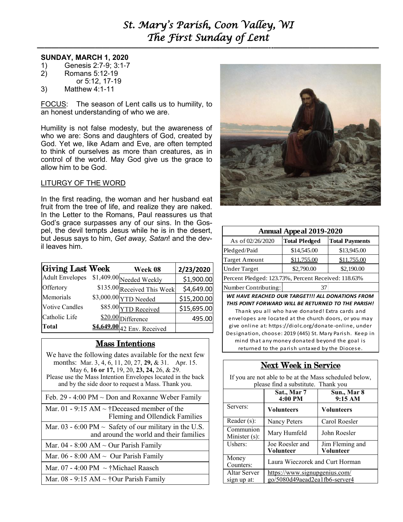# *St. Mary's Parish, Coon Valley, WI The First Sunday of Lent*

**—————————————————————————–———–-——–--—————————————–—**

# **SUNDAY, MARCH 1, 2020**

- 1) Genesis 2:7-9; 3:1-7
- 2) Romans 5:12-19
- or 5:12, 17-19
- 3) Matthew 4:1-11

FOCUS: The season of Lent calls us to humility, to an honest understanding of who we are.

Humility is not false modesty, but the awareness of who we are: Sons and daughters of God, created by God. Yet we, like Adam and Eve, are often tempted to think of ourselves as more than creatures, as in control of the world. May God give us the grace to allow him to be God.

# LITURGY OF THE WORD

In the first reading, the woman and her husband eat fruit from the tree of life, and realize they are naked. In the Letter to the Romans, Paul reassures us that God's grace surpasses any of our sins. In the Gospel, the devil tempts Jesus while he is in the desert, but Jesus says to him, *Get away, Satan*! and the devil leaves him.

| Giving Last Week                         | Week 08                     | 2/23/2020   |
|------------------------------------------|-----------------------------|-------------|
| Adult Envelopes \$1,409.00 Needed Weekly |                             | \$1,900.00  |
| Offertory                                | \$135.00 Received This Week | \$4,649.00  |
| Memorials                                | $$3,000.00$ YTD Needed      | \$15,200.00 |
| <b>Votive Candles</b>                    | \$85.00 YTD Received        | \$15,695.00 |
| Catholic Life                            | \$20.00 Difference          | 495.00      |
| Total                                    | \$4,649.00 42 Env. Received |             |

# Mass Intentions

We have the following dates available for the next few months: Mar. 3, 4, 6, 11, 20, 27, **29,** & 31. Apr. 15. May 6, **16 or 17,** 19, 20, **23, 24,** 26, & 29. Please use the Mass Intention Envelopes located in the back and by the side door to request a Mass. Thank you. Feb. 29 - 4:00 PM  $\sim$  Don and Roxanne Weber Family Mar. 01 - 9:15 AM  $\sim$  †Deceased member of the Fleming and Ollendick Families Mar. 03 - 6:00 PM  $\sim$  Safety of our military in the U.S. and around the world and their families Mar. 04 - 8:00 AM  $\sim$  Our Parish Family Mar. 06 - 8:00 AM  $\sim$  Our Parish Family Mar. 07 - 4:00 PM  $\sim$  †Michael Raasch Mar.  $08 - 9:15 AM \sim \text{\textdegree}$  Parish Family



| <b>Annual Appeal 2019-2020</b>                      |                      |                       |  |  |
|-----------------------------------------------------|----------------------|-----------------------|--|--|
| As of 02/26/2020                                    | <b>Total Pledged</b> | <b>Total Payments</b> |  |  |
| Pledged/Paid                                        | \$14,545.00          | \$13,945.00           |  |  |
| <b>Target Amount</b>                                | \$11,755.00          | \$11,755.00           |  |  |
| <b>Under Target</b>                                 | \$2,790.00           | \$2,190.00            |  |  |
| Percent Pledged: 123.73%, Percent Received: 118.63% |                      |                       |  |  |
|                                                     |                      |                       |  |  |

Number Contributing: 37

*WE HAVE REACHED OUR TARGET!!! ALL DONATIONS FROM THIS POINT FORWARD WILL BE RETURNED TO THE PARISH!* 

Thank you all who have donated! Extra cards and envelopes are located at the church doors, or you may give online at: https://diolc.org/donate-online, under Designation, choose: 2019 (445) St. Mary Parish. Keep in mind that any money donated beyond the goal is returned to the parish untaxed by the Diocese.

# Next Week in Service

If you are not able to be at the Mass scheduled below, please find a substitute. Thank you

|                               | Sat., Mar 7<br>4:00 PM                                         | Sun., Mar 8<br>9:15 AM       |
|-------------------------------|----------------------------------------------------------------|------------------------------|
| Servers:                      | <b>Volunteers</b>                                              | <b>Volunteers</b>            |
| Reader $(s)$ :                | Nancy Peters                                                   | Carol Roesler                |
| Communion<br>Minister $(s)$ : | Mary Humfeld                                                   | John Roesler                 |
| Ushers:                       | Joe Roesler and<br>Volunteer                                   | Jim Fleming and<br>Volunteer |
| Money<br>Counters:            | Laura Wieczorek and Curt Horman                                |                              |
| Altar Server<br>sign up at:   | https://www.signupgenius.com/<br>go/5080d49aead2ea1fb6-server4 |                              |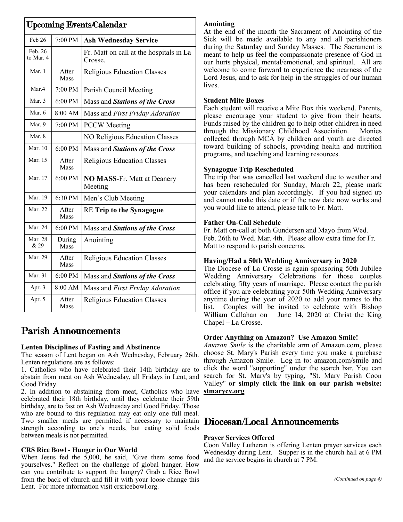| <b>Upcoming Events/Calendar</b> |                              |                                                    |  |
|---------------------------------|------------------------------|----------------------------------------------------|--|
| Feb 26                          | 7:00 PM                      | <b>Ash Wednesday Service</b>                       |  |
| Feb. 26<br>to Mar. 4            |                              | Fr. Matt on call at the hospitals in La<br>Crosse. |  |
| Mar. 1                          | After<br>Mass                | <b>Religious Education Classes</b>                 |  |
| Mar.4                           | $7:00 \text{ PM}$            | Parish Council Meeting                             |  |
| Mar. $3$                        | $6:00 \text{ PM}$            | Mass and Stations of the Cross                     |  |
| Mar. 6                          | $8:00$ AM                    | Mass and First Friday Adoration                    |  |
| Mar. 9                          | 7:00 PM                      | <b>PCCW</b> Meeting                                |  |
| Mar. 8                          |                              | NO Religious Education Classes                     |  |
| Mar. 10                         | 6:00 PM                      | Mass and Stations of the Cross                     |  |
| Mar. 15                         | After<br><b>Mass</b>         | <b>Religious Education Classes</b>                 |  |
| Mar. 17                         | $6:00 \text{ PM}$            | NO MASS-Fr. Matt at Deanery<br>Meeting             |  |
| Mar. 19                         | 6:30 PM                      | Men's Club Meeting                                 |  |
| Mar. 22                         | After<br>Mass                | <b>RE Trip to the Synagogue</b>                    |  |
| Mar. 24                         | 6:00 PM                      | Mass and Stations of the Cross                     |  |
| <b>Mar. 28</b><br>& 29          | During<br><b>Mass</b>        | Anointing                                          |  |
| Mar. 29                         | <b>A</b> fter<br><b>Mass</b> | <b>Religious Education Classes</b>                 |  |
| Mar. 31                         | 6:00 PM                      | Mass and Stations of the Cross                     |  |
| Apr. 3                          | 8:00 AM                      | Mass and First Friday Adoration                    |  |
| Apr. 5                          | <b>A</b> fter<br><b>Mass</b> | <b>Religious Education Classes</b>                 |  |

# Parish Announcements

# **Lenten Disciplines of Fasting and Abstinence**

The season of Lent began on Ash Wednesday, February 26th. Lenten regulations are as follows:

1. Catholics who have celebrated their 14th birthday are to abstain from meat on Ash Wednesday, all Fridays in Lent, and Good Friday.

2. In addition to abstaining from meat, Catholics who have **<stmarycv.org>** celebrated their 18th birthday, until they celebrate their 59th birthday, are to fast on Ash Wednesday and Good Friday. Those who are bound to this regulation may eat only one full meal. Two smaller meals are permitted if necessary to maintain Diocesan/Local Announcements strength according to one's needs, but eating solid foods between meals is not permitted.

# **CRS Rice Bowl - Hunger in Our World**

When Jesus fed the 5,000, he said, "Give them some food yourselves." Reflect on the challenge of global hunger. How can you contribute to support the hungry? Grab a Rice Bowl from the back of church and fill it with your loose change this Lent. For more information visit crsricebowl.org.

# **Anointing**

**A**t the end of the month the Sacrament of Anointing of the Sick will be made available to any and all parishioners during the Saturday and Sunday Masses. The Sacrament is meant to help us feel the compassionate presence of God in our hurts physical, mental/emotional, and spiritual. All are welcome to come forward to experience the nearness of the Lord Jesus, and to ask for help in the struggles of our human lives.

# **Student Mite Boxes**

Each student will receive a Mite Box this weekend. Parents, please encourage your student to give from their hearts. Funds raised by the children go to help other children in need through the Missionary Childhood Association. Monies collected through MCA by children and youth are directed toward building of schools, providing health and nutrition programs, and teaching and learning resources.

# **Synagogue Trip Rescheduled**

The trip that was cancelled last weekend due to weather and has been rescheduled for Sunday, March 22, please mark your calendars and plan accordingly. If you had signed up and cannot make this date or if the new date now works and you would like to attend, please talk to Fr. Matt.

# **Father On-Call Schedule**

Fr. Matt on-call at both Gundersen and Mayo from Wed. Feb. 26th to Wed. Mar. 4th. Please allow extra time for Fr. Matt to respond to parish concerns.

# **Having/Had a 50th Wedding Anniversary in 2020**

The Diocese of La Crosse is again sponsoring 50th Jubilee Wedding Anniversary Celebrations for those couples celebrating fifty years of marriage. Please contact the parish office if you are celebrating your 50th Wedding Anniversary anytime during the year of 2020 to add your names to the list. Couples will be invited to celebrate with Bishop William Callahan on June 14, 2020 at Christ the King Chapel – La Crosse.

# **Order Anything on Amazon? Use Amazon Smile!**

*Amazon Smile* is the charitable arm of Amazon.com, please choose St. Mary's Parish every time you make a purchase through Amazon Smile. Log in to: [amazon.com/smile](http://amazon.com/smile) and click the word "supporting" under the search bar. You can search for St. Mary's by typing, "St. Mary Parish Coon Valley" **or simply click the link on our parish website:** 

# **Prayer Services Offered**

**C**oon Valley Lutheran is offering Lenten prayer services each Wednesday during Lent. Supper is in the church hall at 6 PM and the service begins in church at 7 PM.